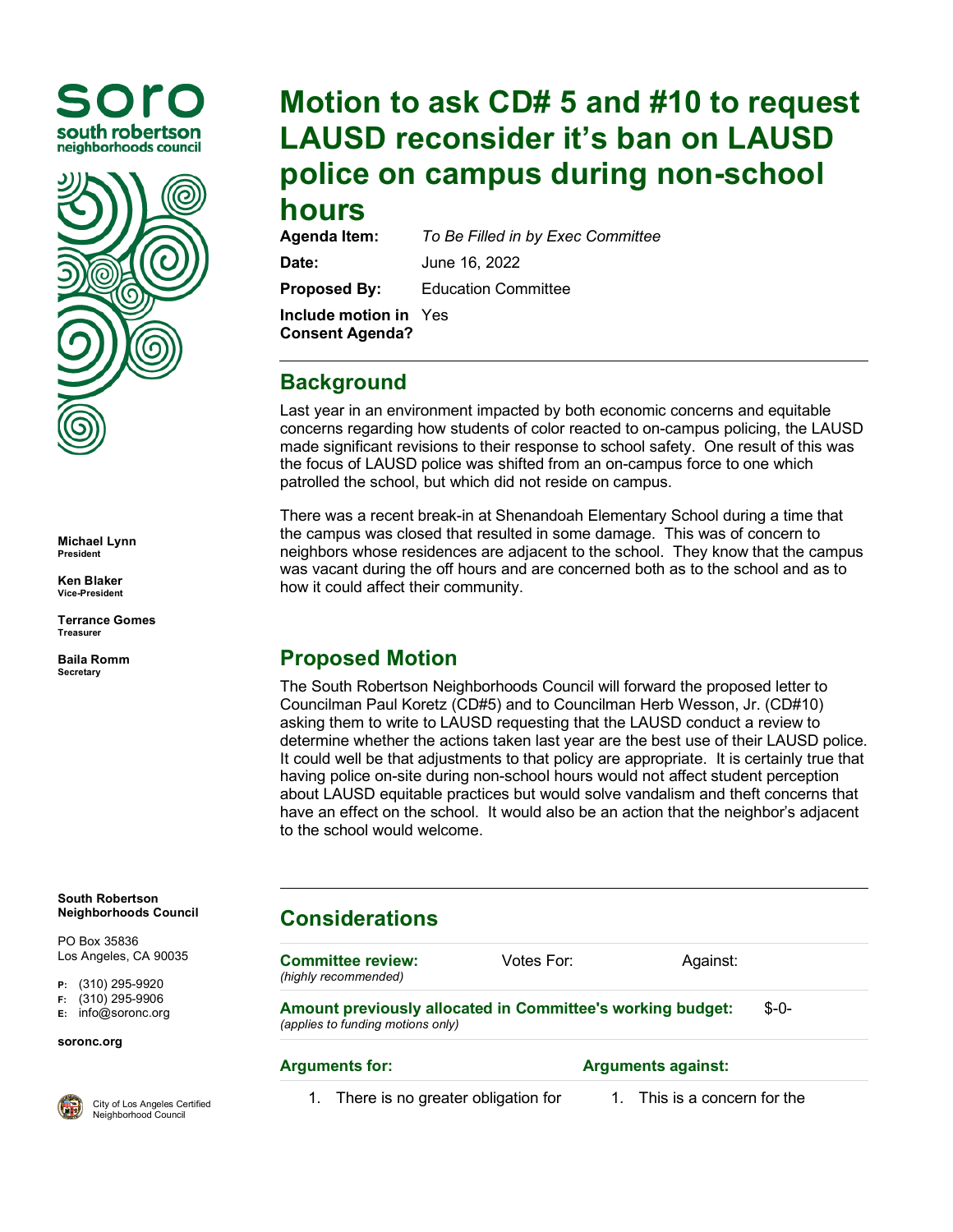



**Michael Lynn President**

**Ken Blaker Vice-President**

**Terrance Gomes Treasurer**

**Baila Romm Secretary**

**South Robertson Neighborhoods Council**

PO Box 35836 Los Angeles, CA 90035

**P:** (310) 295-9920

**F:** (310) 295-9906

**E:** [info@soronc.org](mailto:info@soronc.org)

**soronc.org**



City of Los Angeles Certified Neighborhood Council

## **Motion to ask CD# 5 and #10 to request LAUSD reconsider it's ban on LAUSD police on campus during non-school hours**

**To Be Filled in by Exec Committee Date:** June 16, 2022

**Proposed By:** Education Committee

**Include motion in**  Yes**Consent Agenda?**

### **Background**

Last year in an environment impacted by both economic concerns and equitable concerns regarding how students of color reacted to on-campus policing, the LAUSD made significant revisions to their response to school safety. One result of this was the focus of LAUSD police was shifted from an on-campus force to one which patrolled the school, but which did not reside on campus.

There was a recent break-in at Shenandoah Elementary School during a time that the campus was closed that resulted in some damage. This was of concern to neighbors whose residences are adjacent to the school. They know that the campus was vacant during the off hours and are concerned both as to the school and as to how it could affect their community.

### **Proposed Motion**

The South Robertson Neighborhoods Council will forward the proposed letter to Councilman Paul Koretz (CD#5) and to Councilman Herb Wesson, Jr. (CD#10) asking them to write to LAUSD requesting that the LAUSD conduct a review to determine whether the actions taken last year are the best use of their LAUSD police. It could well be that adjustments to that policy are appropriate. It is certainly true that having police on-site during non-school hours would not affect student perception about LAUSD equitable practices but would solve vandalism and theft concerns that have an effect on the school. It would also be an action that the neighbor's adjacent to the school would welcome.

# **Considerations**

**Committee review:** *(highly recommended)* Votes For: Against: **Amount previously allocated in Committee's working budget:** *(applies to funding motions only)* \$-0-

#### **Arguments for: Arguments against:**

- 1. There is no greater obligation for  $1.$  This is a concern for the
-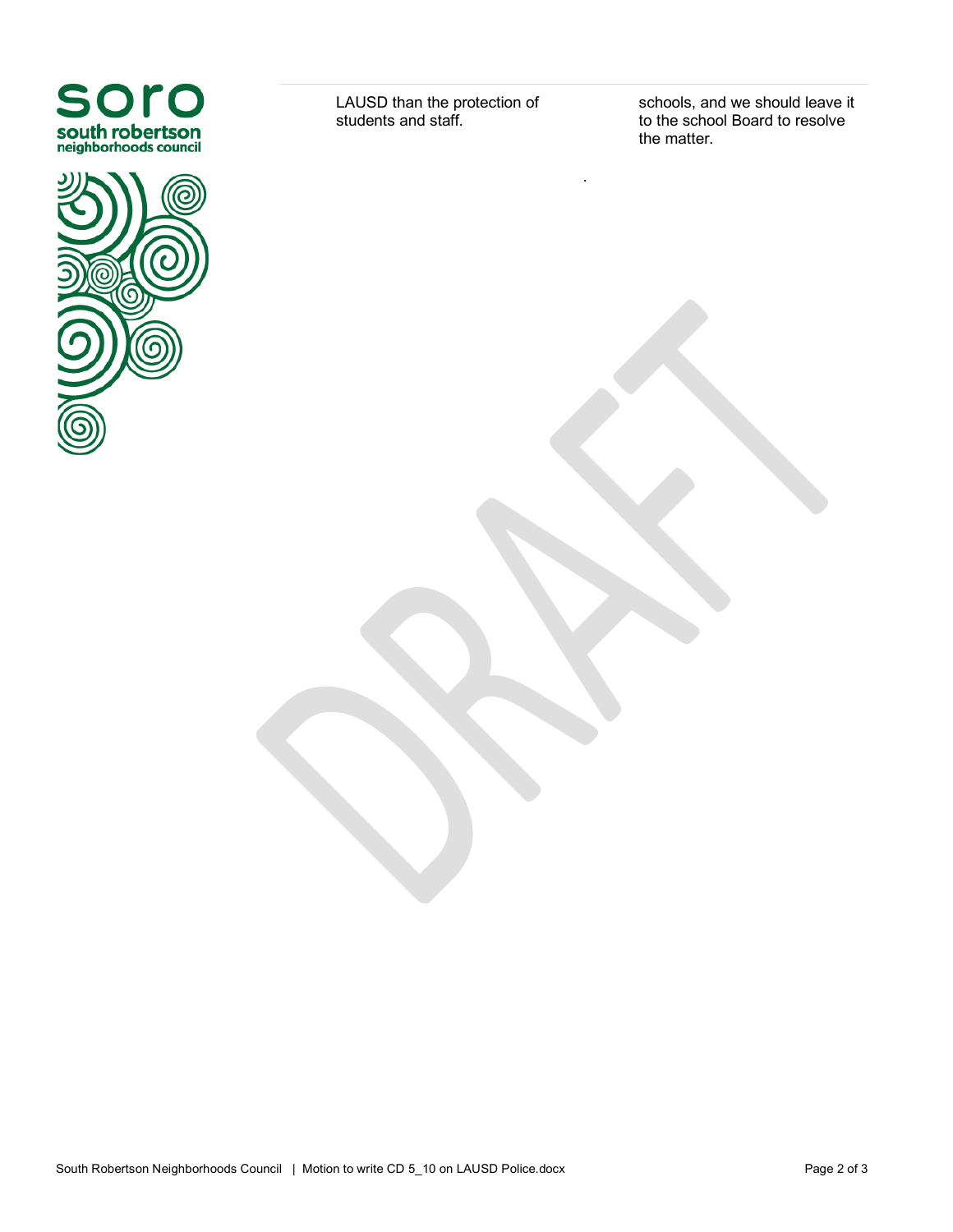



LAUSD than the protection of students and staff.

.

schools, and we should leave it to the school Board to resolve the matter.